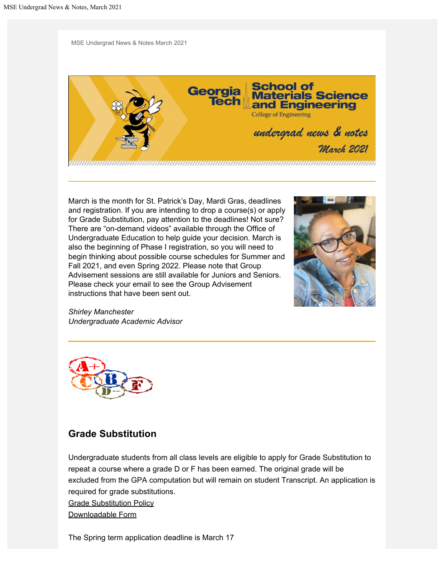MSE Undergrad News & Notes March 2021



March is the month for St. Patrick's Day, Mardi Gras, deadlines and registration. If you are intending to drop a course(s) or apply for Grade Substitution, pay attention to the deadlines! Not sure? There are "on-demand videos" available through the Office of Undergraduate Education to help guide your decision. March is also the beginning of Phase I registration, so you will need to begin thinking about possible course schedules for Summer and Fall 2021, and even Spring 2022. Please note that Group Advisement sessions are still available for Juniors and Seniors. Please check your email to see the Group Advisement instructions that have been sent out.



*Shirley Manchester Undergraduate Academic Advisor*



### **Grade Substitution**

Undergraduate students from all class levels are eligible to apply for Grade Substitution to repeat a course where a grade D or F has been earned. The original grade will be excluded from the GPA computation but will remain on student Transcript. An application is required for grade substitutions.

[Grade Substitution Policy](http://www.catalog.gatech.edu/policies/grading-gpa/grade-substitution/)

[Downloadable Form](https://registrar.gatech.edu/info/grade-substitution-form)

The Spring term application deadline is March 17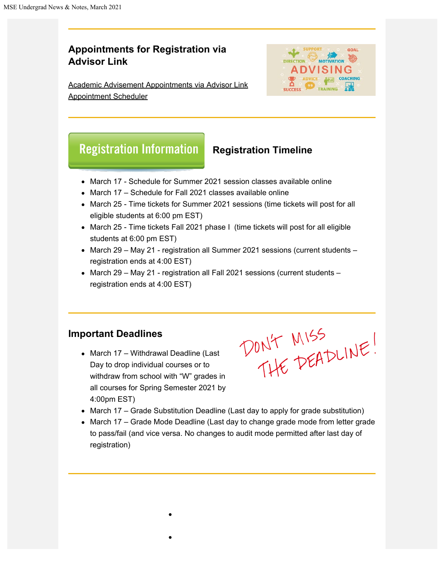# **Appointments for Registration via Advisor Link**

[Academic Advisement Appointments via Advisor Link](https://advisor.gatech.edu/) [Appointment Scheduler](https://advisor.gatech.edu/)



# **Registration Information**

### **Registration Timeline**

- March 17 Schedule for Summer 2021 session classes available online
- March 17 Schedule for Fall 2021 classes available online
- March 25 Time tickets for Summer 2021 sessions (time tickets will post for all eligible students at 6:00 pm EST)
- March 25 Time tickets Fall 2021 phase I (time tickets will post for all eligible students at 6:00 pm EST)
- March 29 May 21 registration all Summer 2021 sessions (current students registration ends at 4:00 EST)
- March 29 May 21 registration all Fall 2021 sessions (current students registration ends at 4:00 EST)

### **Important Deadlines**

• March 17 – Withdrawal Deadline (Last Day to drop individual courses or to withdraw from school with "W" grades in all courses for Spring Semester 2021 by 4:00pm EST)

DON'T MISS

- March 17 Grade Substitution Deadline (Last day to apply for grade substitution)
- March 17 Grade Mode Deadline (Last day to change grade mode from letter grade to pass/fail (and vice versa. No changes to audit mode permitted after last day of registration)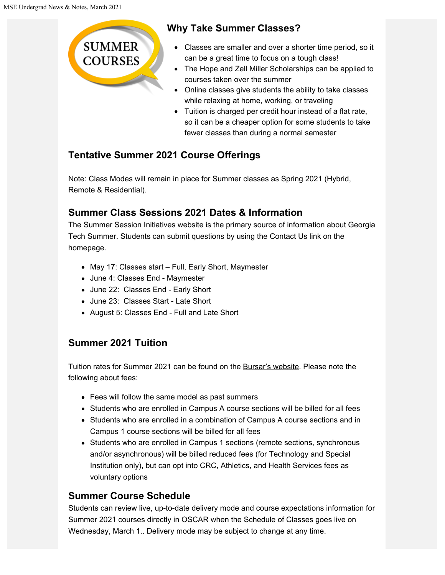**SUMMER COURSES** 

# **Why Take Summer Classes?**

- Classes are smaller and over a shorter time period, so it can be a great time to focus on a tough class!
- The Hope and Zell Miller Scholarships can be applied to courses taken over the summer
- Online classes give students the ability to take classes while relaxing at home, working, or traveling
- Tuition is charged per credit hour instead of a flat rate, so it can be a cheaper option for some students to take fewer classes than during a normal semester

# **[Tentative Summer 2021 Course Offerings](https://summer.gatech.edu/summer-courses/)**

Note: Class Modes will remain in place for Summer classes as Spring 2021 (Hybrid, Remote & Residential).

# **Summer Class Sessions 2021 Dates & Information**

The Summer Session Initiatives website is the primary source of information about Georgia Tech Summer. Students can submit questions by using the Contact Us link on the homepage.

- May 17: Classes start Full, Early Short, Maymester
- June 4: Classes End Maymester
- June 22: Classes End Early Short
- June 23: Classes Start Late Short
- August 5: Classes End Full and Late Short

# **Summer 2021 Tuition**

Tuition rates for Summer 2021 can be found on the [Bursar's website](https://www.bursar.gatech.edu/). Please note the following about fees:

- Fees will follow the same model as past summers
- Students who are enrolled in Campus A course sections will be billed for all fees
- Students who are enrolled in a combination of Campus A course sections and in Campus 1 course sections will be billed for all fees
- Students who are enrolled in Campus 1 sections (remote sections, synchronous and/or asynchronous) will be billed reduced fees (for Technology and Special Institution only), but can opt into CRC, Athletics, and Health Services fees as voluntary options

# **Summer Course Schedule**

Students can review live, up-to-date delivery mode and course expectations information for Summer 2021 courses directly in OSCAR when the Schedule of Classes goes live on Wednesday, March 1.. Delivery mode may be subject to change at any time.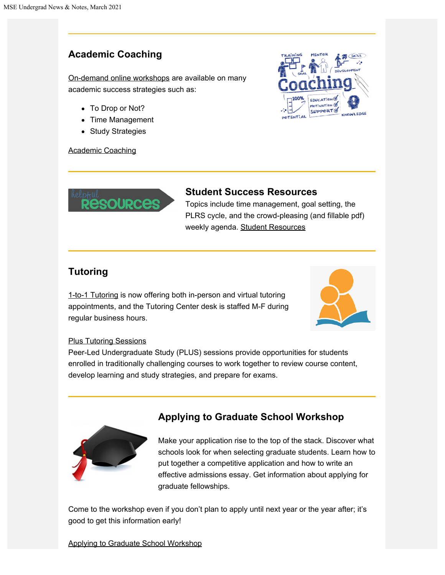## **Academic Coaching**

[On-demand online workshops](https://advising.gatech.edu/demand-workshops) are available on many academic success strategies such as:

- To Drop or Not?
- Time Management
- Study Strategies

#### [Academic Coaching](https://advising.gatech.edu/academic-coaching)





#### **Student Success Resources**

Topics include time management, goal setting, the PLRS cycle, and the crowd-pleasing (and fillable pdf) weekly agenda. [Student Resources](https://advising.gatech.edu/student-resources)

## **Tutoring**

[1-to-1 Tutoring](http://success.gatech.edu/tutoring-0) is now offering both in-person and virtual tutoring appointments, and the Tutoring Center desk is staffed M-F during regular business hours.



#### [Plus Tutoring Sessions](http://success.gatech.edu/plus-sessions)

Peer-Led Undergraduate Study (PLUS) sessions provide opportunities for students enrolled in traditionally challenging courses to work together to review course content, develop learning and study strategies, and prepare for exams.



# **Applying to Graduate School Workshop**

Make your application rise to the top of the stack. Discover what schools look for when selecting graduate students. Learn how to put together a competitive application and how to write an effective admissions essay. Get information about applying for graduate fellowships.

Come to the workshop even if you don't plan to apply until next year or the year after; it's good to get this information early!

#### [Applying to Graduate School Workshop](https://gatech.co1.qualtrics.com/jfe/form/SV_d42HC4Y9JIJuRRY)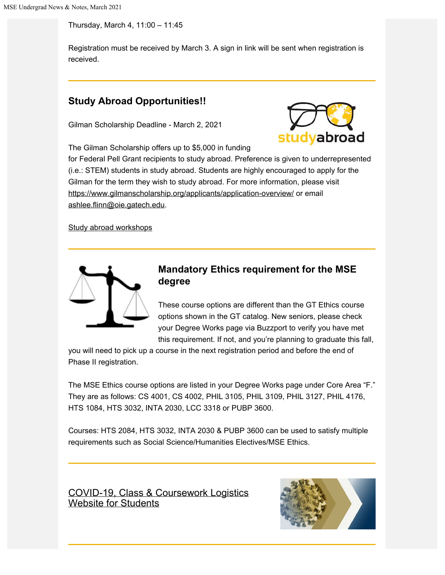Thursday, March 4, 11:00 – 11:45

Registration must be received by March 3. A sign in link will be sent when registration is received.

### **Study Abroad Opportunities!!**

Gilman Scholarship Deadline - March 2, 2021



The Gilman Scholarship offers up to \$5,000 in funding

for Federal Pell Grant recipients to study abroad. Preference is given to underrepresented (i.e.: STEM) students in study abroad. Students are highly encouraged to apply for the Gilman for the term they wish to study abroad. For more information, please visit <https://www.gilmanscholarship.org/applicants/application-overview/> or email [a](mailto:ashlee.flinn@oie.gatech.edu)[shlee.flinn@oie.gatech.edu](mailto:shlee.flinn@oie.gatech.edu).

[Study abroad workshops](https://ea.oie.gatech.edu/content/scholarships)



### **Mandatory Ethics requirement for the MSE degree**

These course options are different than the GT Ethics course options shown in the GT catalog. New seniors, please check your Degree Works page via Buzzport to verify you have met this requirement. If not, and you're planning to graduate this fall,

you will need to pick up a course in the next registration period and before the end of Phase II registration.

The MSE Ethics course options are listed in your Degree Works page under Core Area "F." They are as follows: CS 4001, CS 4002, PHIL 3105, PHIL 3109, PHIL 3127, PHIL 4176, HTS 1084, HTS 3032, INTA 2030, LCC 3318 or PUBP 3600.

Courses: HTS 2084, HTS 3032, INTA 2030 & PUBP 3600 can be used to satisfy multiple requirements such as Social Science/Humanities Electives/MSE Ethics.

[COVID-19, Class & Coursework Logistics](http://health.gatech.edu/coronavirus/students#spring2021) [Website for Students](http://health.gatech.edu/coronavirus/students#spring2021)

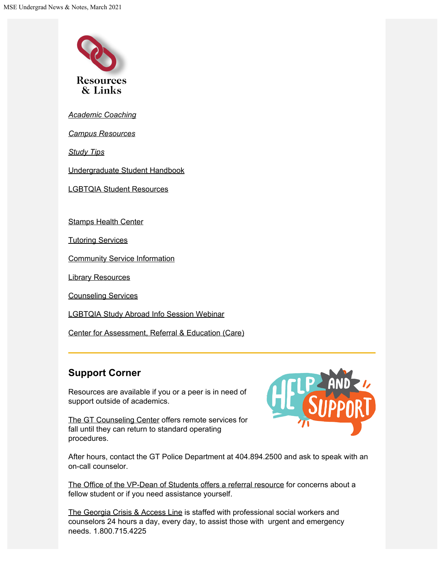

*[Academic](http://success.gatech.edu/programs/resources) [Coaching](https://advising.gatech.edu/academic-coaching)*

*[Campus Resources](https://career.gatech.edu/graduate-students/other-campus-resources)*

*[Study Tips](http://www.success.gatech.edu/)*

[Undergraduate Student Handbook](http://mse.gatech.edu/undergraduate-program/handbook#accred)

[LGBTQIA Student Resources](https://lgbtqia.gatech.edu/)

[Stamps Health Center](https://health.gatech.edu/)

[Tutoring Services](http://www.success.gatech.edu/tutoring-0)

[Community Service Information](http://engage.gatech.edu/)

[Library Resources](https://www.library.gatech.edu/)

[Counseling Services](http://counseling.gatech.edu/)

[LGBTQIA Study Abroad Info Session Webinar](https://www.youtube.com/watch?v=_e-ytjoYeQ0)

[Center for Assessment, Referral & Education \(Care\)](https://care.gatech.edu/)

# **Support Corner**

Resources are available if you or a peer is in need of support outside of academics.



[The GT Counseling Center](http://www.counseling.gatech.edu/) offers remote services for fall until they can return to standard operating procedures.

After hours, contact the GT Police Department at 404.894.2500 and ask to speak with an on-call counselor.

[The Office of the VP-Dean of Students offers a referral resource](https://referral.studentlife.gatech.edu/) for concerns about a fellow student or if you need assistance yourself.

[The Georgia Crisis & Access Line](https://www.valueoptions.com/referralconnect/doLogin.do?e=Z2FjbSAg) is staffed with professional social workers and counselors 24 hours a day, every day, to assist those with urgent and emergency needs. 1.800.715.4225